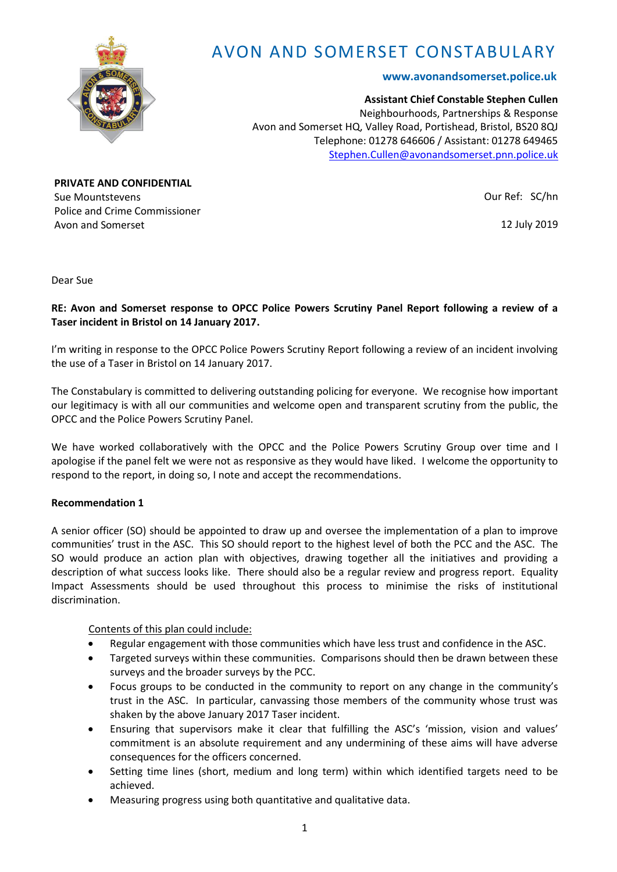

# AVON AND SOMERSET CONSTABULARY

# **www.avonandsomerset.police.uk**

**Assistant Chief Constable Stephen Cullen** Neighbourhoods, Partnerships & Response Avon and Somerset HQ, Valley Road, Portishead, Bristol, BS20 8QJ Telephone: 01278 646606 / Assistant: 01278 649465 [Stephen.Cullen@avonandsomerset.pnn.police.uk](mailto:Stephen.Cullen@avonandsomerset.pnn.police.uk)

**PRIVATE AND CONFIDENTIAL** Sue Mountstevens Police and Crime Commissioner Avon and Somerset

Our Ref: SC/hn

12 July 2019

Dear Sue

# **RE: Avon and Somerset response to OPCC Police Powers Scrutiny Panel Report following a review of a Taser incident in Bristol on 14 January 2017.**

I'm writing in response to the OPCC Police Powers Scrutiny Report following a review of an incident involving the use of a Taser in Bristol on 14 January 2017.

The Constabulary is committed to delivering outstanding policing for everyone. We recognise how important our legitimacy is with all our communities and welcome open and transparent scrutiny from the public, the OPCC and the Police Powers Scrutiny Panel.

We have worked collaboratively with the OPCC and the Police Powers Scrutiny Group over time and I apologise if the panel felt we were not as responsive as they would have liked. I welcome the opportunity to respond to the report, in doing so, I note and accept the recommendations.

## **Recommendation 1**

A senior officer (SO) should be appointed to draw up and oversee the implementation of a plan to improve communities' trust in the ASC. This SO should report to the highest level of both the PCC and the ASC. The SO would produce an action plan with objectives, drawing together all the initiatives and providing a description of what success looks like. There should also be a regular review and progress report. Equality Impact Assessments should be used throughout this process to minimise the risks of institutional discrimination.

Contents of this plan could include:

- Regular engagement with those communities which have less trust and confidence in the ASC.
- Targeted surveys within these communities. Comparisons should then be drawn between these surveys and the broader surveys by the PCC.
- Focus groups to be conducted in the community to report on any change in the community's trust in the ASC. In particular, canvassing those members of the community whose trust was shaken by the above January 2017 Taser incident.
- Ensuring that supervisors make it clear that fulfilling the ASC's 'mission, vision and values' commitment is an absolute requirement and any undermining of these aims will have adverse consequences for the officers concerned.
- Setting time lines (short, medium and long term) within which identified targets need to be achieved.
- Measuring progress using both quantitative and qualitative data.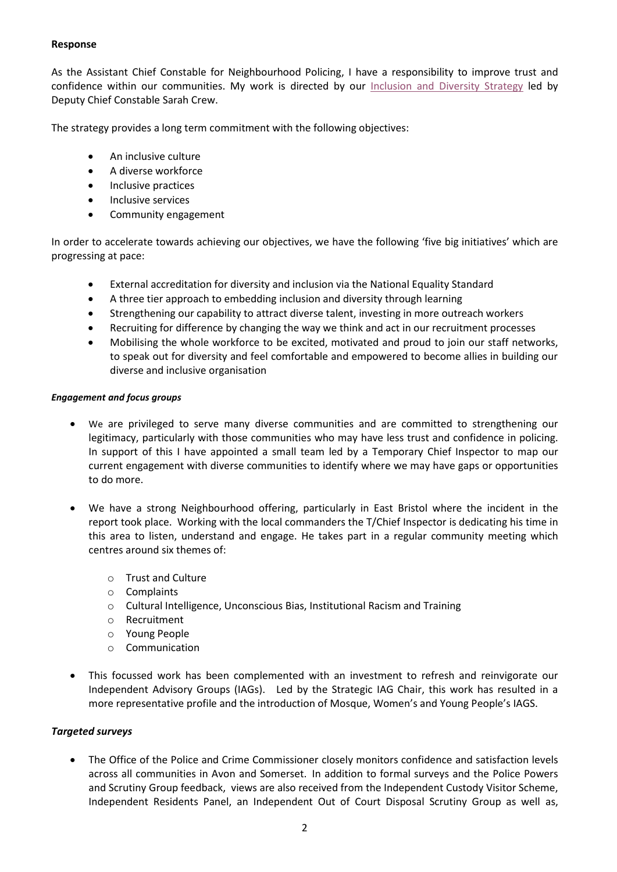# **Response**

As the Assistant Chief Constable for Neighbourhood Policing, I have a responsibility to improve trust and confidence within our communities. My work is directed by our [Inclusion and Diversity Strategy](https://www.avonandsomerset.police.uk/media/32373151/inclusion-and-diversity-strategy-and-equality-action-plan.pdf) led by Deputy Chief Constable Sarah Crew.

The strategy provides a long term commitment with the following objectives:

- An inclusive culture
- A diverse workforce
- Inclusive practices
- Inclusive services
- Community engagement

In order to accelerate towards achieving our objectives, we have the following 'five big initiatives' which are progressing at pace:

- External accreditation for diversity and inclusion via the National Equality Standard
- A three tier approach to embedding inclusion and diversity through learning
- Strengthening our capability to attract diverse talent, investing in more outreach workers
- Recruiting for difference by changing the way we think and act in our recruitment processes
- Mobilising the whole workforce to be excited, motivated and proud to join our staff networks, to speak out for diversity and feel comfortable and empowered to become allies in building our diverse and inclusive organisation

## *Engagement and focus groups*

- We are privileged to serve many diverse communities and are committed to strengthening our legitimacy, particularly with those communities who may have less trust and confidence in policing. In support of this I have appointed a small team led by a Temporary Chief Inspector to map our current engagement with diverse communities to identify where we may have gaps or opportunities to do more.
- We have a strong Neighbourhood offering, particularly in East Bristol where the incident in the report took place. Working with the local commanders the T/Chief Inspector is dedicating his time in this area to listen, understand and engage. He takes part in a regular community meeting which centres around six themes of:
	- o Trust and Culture
	- o Complaints
	- o Cultural Intelligence, Unconscious Bias, Institutional Racism and Training
	- o Recruitment
	- o Young People
	- o Communication
- This focussed work has been complemented with an investment to refresh and reinvigorate our Independent Advisory Groups (IAGs). Led by the Strategic IAG Chair, this work has resulted in a more representative profile and the introduction of Mosque, Women's and Young People's IAGS.

## *Targeted surveys*

 The Office of the Police and Crime Commissioner closely monitors confidence and satisfaction levels across all communities in Avon and Somerset. In addition to formal surveys and the Police Powers and Scrutiny Group feedback, views are also received from the Independent Custody Visitor Scheme, Independent Residents Panel, an Independent Out of Court Disposal Scrutiny Group as well as,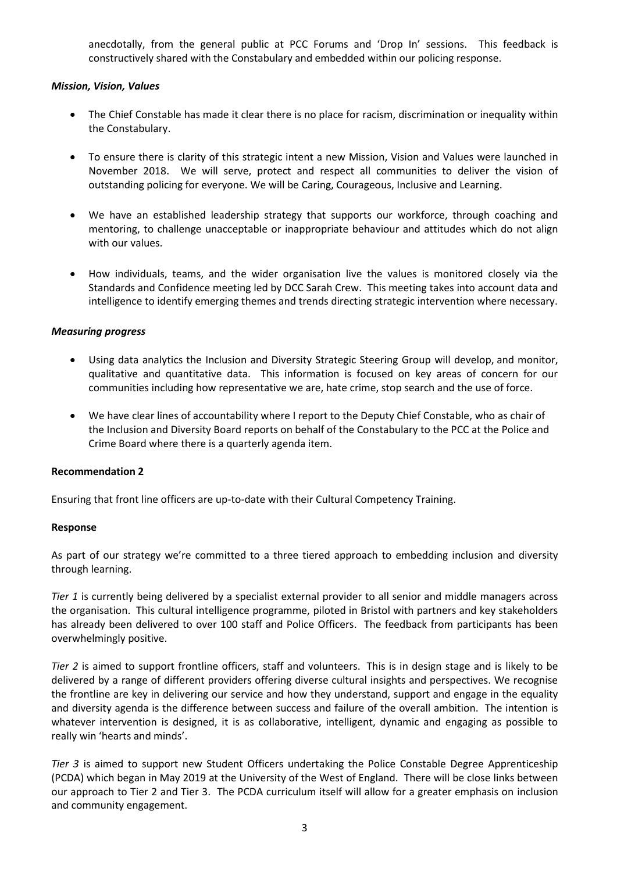anecdotally, from the general public at PCC Forums and 'Drop In' sessions. This feedback is constructively shared with the Constabulary and embedded within our policing response.

# *Mission, Vision, Values*

- The Chief Constable has made it clear there is no place for racism, discrimination or inequality within the Constabulary.
- To ensure there is clarity of this strategic intent a new Mission, Vision and Values were launched in November 2018. We will serve, protect and respect all communities to deliver the vision of outstanding policing for everyone. We will be Caring, Courageous, Inclusive and Learning.
- We have an established leadership strategy that supports our workforce, through coaching and mentoring, to challenge unacceptable or inappropriate behaviour and attitudes which do not align with our values.
- How individuals, teams, and the wider organisation live the values is monitored closely via the Standards and Confidence meeting led by DCC Sarah Crew. This meeting takes into account data and intelligence to identify emerging themes and trends directing strategic intervention where necessary.

# *Measuring progress*

- Using data analytics the Inclusion and Diversity Strategic Steering Group will develop, and monitor, qualitative and quantitative data. This information is focused on key areas of concern for our communities including how representative we are, hate crime, stop search and the use of force.
- We have clear lines of accountability where I report to the Deputy Chief Constable, who as chair of the Inclusion and Diversity Board reports on behalf of the Constabulary to the PCC at the Police and Crime Board where there is a quarterly agenda item.

## **Recommendation 2**

Ensuring that front line officers are up-to-date with their Cultural Competency Training.

## **Response**

As part of our strategy we're committed to a three tiered approach to embedding inclusion and diversity through learning.

*Tier 1* is currently being delivered by a specialist external provider to all senior and middle managers across the organisation. This cultural intelligence programme, piloted in Bristol with partners and key stakeholders has already been delivered to over 100 staff and Police Officers. The feedback from participants has been overwhelmingly positive.

*Tier 2* is aimed to support frontline officers, staff and volunteers. This is in design stage and is likely to be delivered by a range of different providers offering diverse cultural insights and perspectives. We recognise the frontline are key in delivering our service and how they understand, support and engage in the equality and diversity agenda is the difference between success and failure of the overall ambition. The intention is whatever intervention is designed, it is as collaborative, intelligent, dynamic and engaging as possible to really win 'hearts and minds'.

*Tier 3* is aimed to support new Student Officers undertaking the Police Constable Degree Apprenticeship (PCDA) which began in May 2019 at the University of the West of England. There will be close links between our approach to Tier 2 and Tier 3. The PCDA curriculum itself will allow for a greater emphasis on inclusion and community engagement.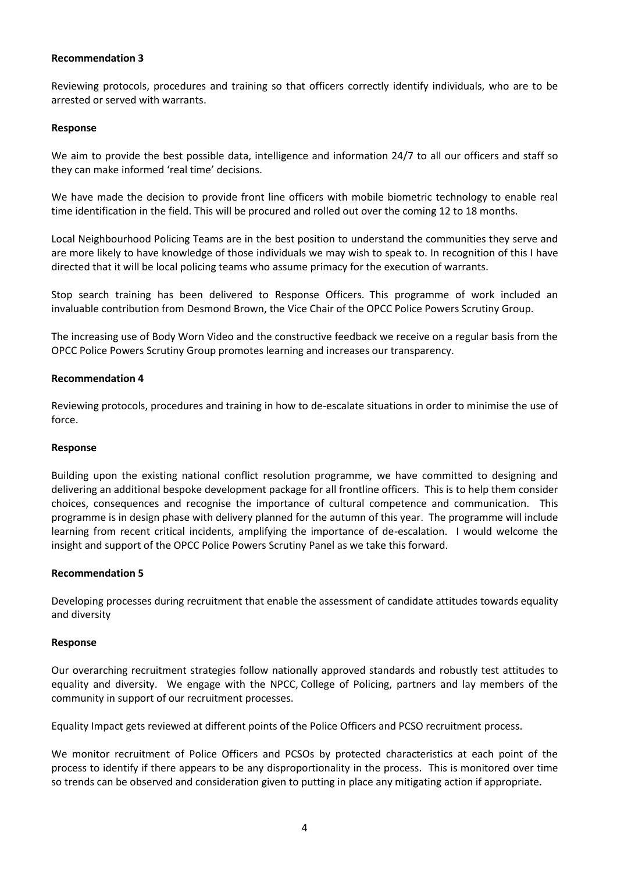## **Recommendation 3**

Reviewing protocols, procedures and training so that officers correctly identify individuals, who are to be arrested or served with warrants.

#### **Response**

We aim to provide the best possible data, intelligence and information 24/7 to all our officers and staff so they can make informed 'real time' decisions.

We have made the decision to provide front line officers with mobile biometric technology to enable real time identification in the field. This will be procured and rolled out over the coming 12 to 18 months.

Local Neighbourhood Policing Teams are in the best position to understand the communities they serve and are more likely to have knowledge of those individuals we may wish to speak to. In recognition of this I have directed that it will be local policing teams who assume primacy for the execution of warrants.

Stop search training has been delivered to Response Officers. This programme of work included an invaluable contribution from Desmond Brown, the Vice Chair of the OPCC Police Powers Scrutiny Group.

The increasing use of Body Worn Video and the constructive feedback we receive on a regular basis from the OPCC Police Powers Scrutiny Group promotes learning and increases our transparency.

## **Recommendation 4**

Reviewing protocols, procedures and training in how to de-escalate situations in order to minimise the use of force.

#### **Response**

Building upon the existing national conflict resolution programme, we have committed to designing and delivering an additional bespoke development package for all frontline officers. This is to help them consider choices, consequences and recognise the importance of cultural competence and communication. This programme is in design phase with delivery planned for the autumn of this year. The programme will include learning from recent critical incidents, amplifying the importance of de-escalation. I would welcome the insight and support of the OPCC Police Powers Scrutiny Panel as we take this forward.

## **Recommendation 5**

Developing processes during recruitment that enable the assessment of candidate attitudes towards equality and diversity

#### **Response**

Our overarching recruitment strategies follow nationally approved standards and robustly test attitudes to equality and diversity. We engage with the NPCC, College of Policing, partners and lay members of the community in support of our recruitment processes.

Equality Impact gets reviewed at different points of the Police Officers and PCSO recruitment process.

We monitor recruitment of Police Officers and PCSOs by protected characteristics at each point of the process to identify if there appears to be any disproportionality in the process. This is monitored over time so trends can be observed and consideration given to putting in place any mitigating action if appropriate.